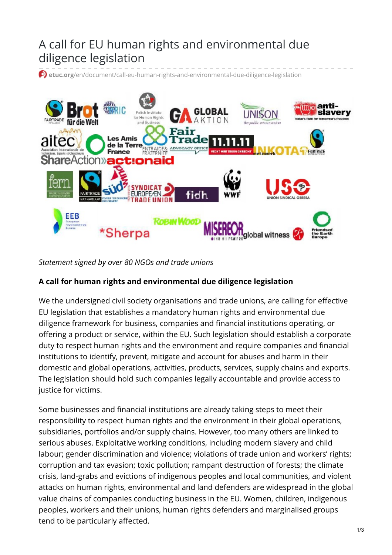## A call for EU human rights and environmental due diligence legislation

**etuc.org**[/en/document/call-eu-human-rights-and-environmental-due-diligence-legislation](https://www.etuc.org/en/document/call-eu-human-rights-and-environmental-due-diligence-legislation)



*Statement signed by over 80 NGOs and trade unions*

## **A call for human rights and environmental due diligence legislation**

We the undersigned civil society organisations and trade unions, are calling for effective EU legislation that establishes a mandatory human rights and environmental due diligence framework for business, companies and financial institutions operating, or offering a product or service, within the EU. Such legislation should establish a corporate duty to respect human rights and the environment and require companies and financial institutions to identify, prevent, mitigate and account for abuses and harm in their domestic and global operations, activities, products, services, supply chains and exports. The legislation should hold such companies legally accountable and provide access to justice for victims.

Some businesses and financial institutions are already taking steps to meet their responsibility to respect human rights and the environment in their global operations, subsidiaries, portfolios and/or supply chains. However, too many others are linked to serious abuses. Exploitative working conditions, including modern slavery and child labour; gender discrimination and violence; violations of trade union and workers' rights; corruption and tax evasion; toxic pollution; rampant destruction of forests; the climate crisis, land-grabs and evictions of indigenous peoples and local communities, and violent attacks on human rights, environmental and land defenders are widespread in the global value chains of companies conducting business in the EU. Women, children, indigenous peoples, workers and their unions, human rights defenders and marginalised groups tend to be particularly affected.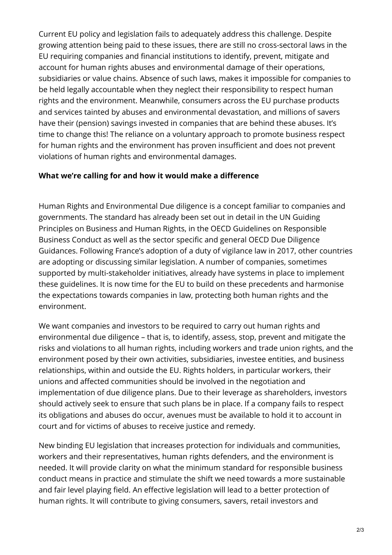Current EU policy and legislation fails to adequately address this challenge. Despite growing attention being paid to these issues, there are still no cross-sectoral laws in the EU requiring companies and financial institutions to identify, prevent, mitigate and account for human rights abuses and environmental damage of their operations, subsidiaries or value chains. Absence of such laws, makes it impossible for companies to be held legally accountable when they neglect their responsibility to respect human rights and the environment. Meanwhile, consumers across the EU purchase products and services tainted by abuses and environmental devastation, and millions of savers have their (pension) savings invested in companies that are behind these abuses. It's time to change this! The reliance on a voluntary approach to promote business respect for human rights and the environment has proven insufficient and does not prevent violations of human rights and environmental damages.

## **What we're calling for and how it would make a difference**

Human Rights and Environmental Due diligence is a concept familiar to companies and governments. The standard has already been set out in detail in the UN Guiding Principles on Business and Human Rights, in the OECD Guidelines on Responsible Business Conduct as well as the sector specific and general OECD Due Diligence Guidances. Following France's adoption of a duty of vigilance law in 2017, other countries are adopting or discussing similar legislation. A number of companies, sometimes supported by multi-stakeholder initiatives, already have systems in place to implement these guidelines. It is now time for the EU to build on these precedents and harmonise the expectations towards companies in law, protecting both human rights and the environment.

We want companies and investors to be required to carry out human rights and environmental due diligence – that is, to identify, assess, stop, prevent and mitigate the risks and violations to all human rights, including workers and trade union rights, and the environment posed by their own activities, subsidiaries, investee entities, and business relationships, within and outside the EU. Rights holders, in particular workers, their unions and affected communities should be involved in the negotiation and implementation of due diligence plans. Due to their leverage as shareholders, investors should actively seek to ensure that such plans be in place. If a company fails to respect its obligations and abuses do occur, avenues must be available to hold it to account in court and for victims of abuses to receive justice and remedy.

New binding EU legislation that increases protection for individuals and communities, workers and their representatives, human rights defenders, and the environment is needed. It will provide clarity on what the minimum standard for responsible business conduct means in practice and stimulate the shift we need towards a more sustainable and fair level playing field. An effective legislation will lead to a better protection of human rights. It will contribute to giving consumers, savers, retail investors and